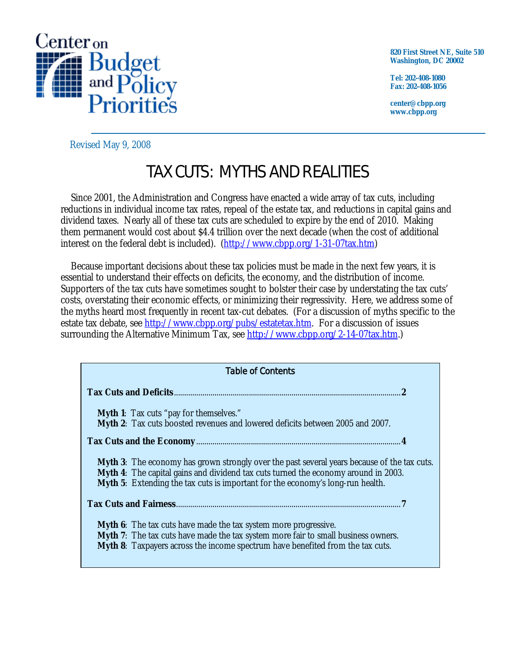

**820 First Street NE, Suite 510 Washington, DC 20002** 

**Tel: 202-408-1080 Fax: 202-408-1056** 

**center@cbpp.org www.cbpp.org** 

Revised May 9, 2008

# TAX CUTS: MYTHS AND REALITIES

Since 2001, the Administration and Congress have enacted a wide array of tax cuts, including reductions in individual income tax rates, repeal of the estate tax, and reductions in capital gains and dividend taxes. Nearly all of these tax cuts are scheduled to expire by the end of 2010. Making them permanent would cost about \$4.4 trillion over the next decade (when the cost of additional interest on the federal debt is included). (http://www.cbpp.org/1-31-07tax.htm)

Because important decisions about these tax policies must be made in the next few years, it is essential to understand their effects on deficits, the economy, and the distribution of income. Supporters of the tax cuts have sometimes sought to bolster their case by understating the tax cuts' costs, overstating their economic effects, or minimizing their regressivity. Here, we address some of the myths heard most frequently in recent tax-cut debates. (For a discussion of myths specific to the estate tax debate, see http://www.cbpp.org/pubs/estatetax.htm. For a discussion of issues surrounding the Alternative Minimum Tax, see http://www.cbpp.org/2-14-07tax.htm.)

| <b>Table of Contents</b>                                                                                                                                                                                                                                                          |  |  |
|-----------------------------------------------------------------------------------------------------------------------------------------------------------------------------------------------------------------------------------------------------------------------------------|--|--|
| <b>Tax Cuts and Deficits.</b>                                                                                                                                                                                                                                                     |  |  |
| <b>Myth 1:</b> Tax cuts "pay for themselves."<br>Myth 2: Tax cuts boosted revenues and lowered deficits between 2005 and 2007.                                                                                                                                                    |  |  |
|                                                                                                                                                                                                                                                                                   |  |  |
| <b>Myth 3:</b> The economy has grown strongly over the past several years because of the tax cuts.<br>Myth 4: The capital gains and dividend tax cuts turned the economy around in 2003.<br><b>Myth 5:</b> Extending the tax cuts is important for the economy's long-run health. |  |  |
|                                                                                                                                                                                                                                                                                   |  |  |
| <b>Myth 6:</b> The tax cuts have made the tax system more progressive.<br>Myth 7: The tax cuts have made the tax system more fair to small business owners.<br>Myth 8: Taxpayers across the income spectrum have benefited from the tax cuts.                                     |  |  |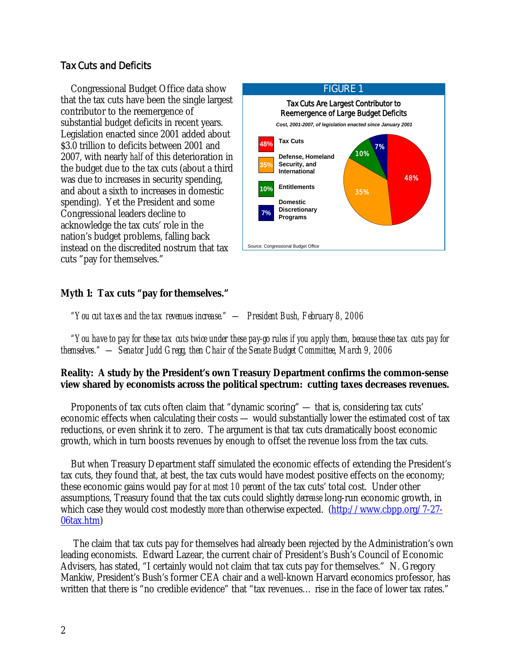# Tax Cuts and Deficits

Congressional Budget Office data show that the tax cuts have been the single largest contributor to the reemergence of substantial budget deficits in recent years. Legislation enacted since 2001 added about \$3.0 trillion to deficits between 2001 and 2007, with nearly *half* of this deterioration in the budget due to the tax cuts (about a third was due to increases in security spending, and about a sixth to increases in domestic spending). Yet the President and some Congressional leaders decline to acknowledge the tax cuts' role in the nation's budget problems, falling back instead on the discredited nostrum that tax cuts "pay for themselves."



# **Myth 1: Tax cuts "pay for themselves."**

*"You cut taxes and the tax revenues increase." — President Bush, February 8, 2006* 

*"You have to pay for these tax cuts twice under these pay-go rules if you apply them, because these tax cuts pay for themselves." — Senator Judd Gregg, then Chair of the Senate Budget Committee, March 9, 2006* 

# **Reality: A study by the President's own Treasury Department confirms the common-sense view shared by economists across the political spectrum: cutting taxes decreases revenues.**

Proponents of tax cuts often claim that "dynamic scoring" — that is, considering tax cuts' economic effects when calculating their costs — would substantially lower the estimated cost of tax reductions, or even shrink it to zero. The argument is that tax cuts dramatically boost economic growth, which in turn boosts revenues by enough to offset the revenue loss from the tax cuts.

But when Treasury Department staff simulated the economic effects of extending the President's tax cuts, they found that, at best, the tax cuts would have modest positive effects on the economy; these economic gains would pay for *at most 10 percent* of the tax cuts' total cost. Under other assumptions, Treasury found that the tax cuts could slightly *decrease* long-run economic growth, in which case they would cost modestly *more* than otherwise expected. (http://www.cbpp.org/7-27-06tax.htm)

 The claim that tax cuts pay for themselves had already been rejected by the Administration's own leading economists. Edward Lazear, the current chair of President's Bush's Council of Economic Advisers, has stated, "I certainly would not claim that tax cuts pay for themselves." N. Gregory Mankiw, President's Bush's former CEA chair and a well-known Harvard economics professor, has written that there is "no credible evidence" that "tax revenues… rise in the face of lower tax rates."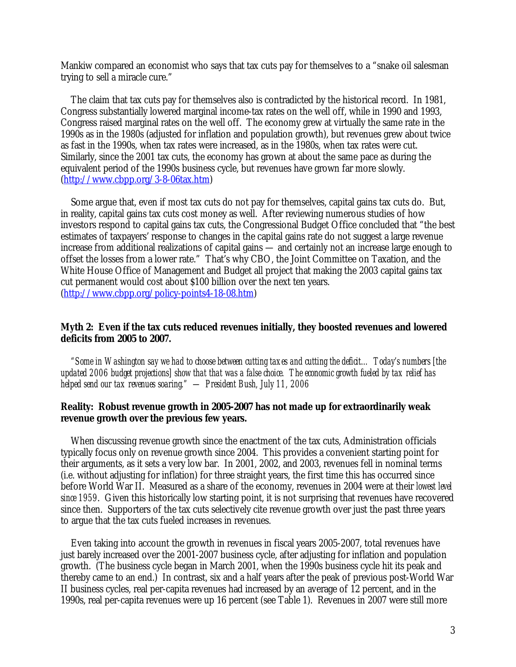Mankiw compared an economist who says that tax cuts pay for themselves to a "snake oil salesman trying to sell a miracle cure."

The claim that tax cuts pay for themselves also is contradicted by the historical record. In 1981, Congress substantially lowered marginal income-tax rates on the well off, while in 1990 and 1993, Congress raised marginal rates on the well off. The economy grew at virtually the same rate in the 1990s as in the 1980s (adjusted for inflation and population growth), but revenues grew about twice as fast in the 1990s, when tax rates were increased, as in the 1980s, when tax rates were cut. Similarly, since the 2001 tax cuts, the economy has grown at about the same pace as during the equivalent period of the 1990s business cycle, but revenues have grown far more slowly. (http://www.cbpp.org/3-8-06tax.htm)

Some argue that, even if most tax cuts do not pay for themselves, capital gains tax cuts do. But, in reality, capital gains tax cuts cost money as well. After reviewing numerous studies of how investors respond to capital gains tax cuts, the Congressional Budget Office concluded that "the best estimates of taxpayers' response to changes in the capital gains rate do not suggest a large revenue increase from additional realizations of capital gains — and certainly not an increase large enough to offset the losses from a lower rate." That's why CBO, the Joint Committee on Taxation, and the White House Office of Management and Budget all project that making the 2003 capital gains tax cut permanent would cost about \$100 billion over the next ten years. (http://www.cbpp.org/policy-points4-18-08.htm)

# **Myth 2: Even if the tax cuts reduced revenues initially, they boosted revenues and lowered deficits from 2005 to 2007.**

*"Some in Washington say we had to choose between cutting taxes and cutting the deficit… Today's numbers [the updated 2006 budget projections] show that that was a false choice. The economic growth fueled by tax relief has helped send our tax revenues soaring." — President Bush, July 11, 2006* 

## **Reality: Robust revenue growth in 2005-2007 has not made up for extraordinarily weak revenue growth over the previous few years.**

When discussing revenue growth since the enactment of the tax cuts, Administration officials typically focus only on revenue growth since 2004. This provides a convenient starting point for their arguments, as it sets a very low bar. In 2001, 2002, and 2003, revenues fell in nominal terms (i.e. without adjusting for inflation) for three straight years, the first time this has occurred since before World War II. Measured as a share of the economy, revenues in 2004 were at their *lowest level since 1959*. Given this historically low starting point, it is not surprising that revenues have recovered since then. Supporters of the tax cuts selectively cite revenue growth over just the past three years to argue that the tax cuts fueled increases in revenues.

Even taking into account the growth in revenues in fiscal years 2005-2007, total revenues have just barely increased over the 2001-2007 business cycle, after adjusting for inflation and population growth. (The business cycle began in March 2001, when the 1990s business cycle hit its peak and thereby came to an end.) In contrast, six and a half years after the peak of previous post-World War II business cycles, real per-capita revenues had increased by an average of 12 percent, and in the 1990s, real per-capita revenues were up 16 percent (see Table 1). Revenues in 2007 were still more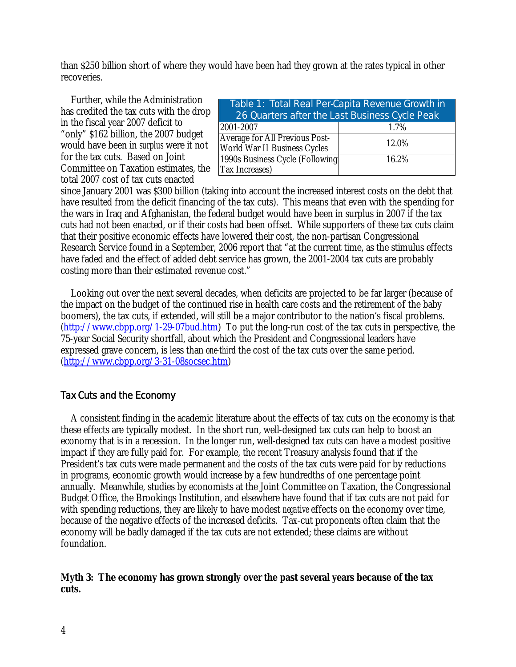than \$250 billion short of where they would have been had they grown at the rates typical in other recoveries.

Further, while the Administration has credited the tax cuts with the drop in the fiscal year 2007 deficit to "only" \$162 billion, the 2007 budget would have been in *surplus* were it not for the tax cuts. Based on Joint Committee on Taxation estimates, the total 2007 cost of tax cuts enacted

| Table 1: Total Real Per-Capita Revenue Growth in<br>26 Quarters after the Last Business Cycle Peak |       |
|----------------------------------------------------------------------------------------------------|-------|
| 2001-2007                                                                                          | 1.7%  |
| Average for All Previous Post-<br>World War II Business Cycles                                     | 12.0% |
| 1990s Business Cycle (Following)<br>Tax Increases)                                                 | 16.2% |

since January 2001 was \$300 billion (taking into account the increased interest costs on the debt that have resulted from the deficit financing of the tax cuts). This means that even with the spending for the wars in Iraq and Afghanistan, the federal budget would have been in surplus in 2007 if the tax cuts had not been enacted, or if their costs had been offset. While supporters of these tax cuts claim that their positive economic effects have lowered their cost, the non-partisan Congressional Research Service found in a September, 2006 report that "at the current time, as the stimulus effects have faded and the effect of added debt service has grown, the 2001-2004 tax cuts are probably costing more than their estimated revenue cost."

Looking out over the next several decades, when deficits are projected to be far larger (because of the impact on the budget of the continued rise in health care costs and the retirement of the baby boomers), the tax cuts, if extended, will still be a major contributor to the nation's fiscal problems. (http://www.cbpp.org/1-29-07bud.htm) To put the long-run cost of the tax cuts in perspective, the 75-year Social Security shortfall, about which the President and Congressional leaders have expressed grave concern, is less than *one-third* the cost of the tax cuts over the same period. (http://www.cbpp.org/3-31-08socsec.htm)

# Tax Cuts and the Economy

A consistent finding in the academic literature about the effects of tax cuts on the economy is that these effects are typically modest. In the short run, well-designed tax cuts can help to boost an economy that is in a recession. In the longer run, well-designed tax cuts can have a modest positive impact if they are fully paid for. For example, the recent Treasury analysis found that if the President's tax cuts were made permanent *and* the costs of the tax cuts were paid for by reductions in programs, economic growth would increase by a few hundredths of one percentage point annually. Meanwhile, studies by economists at the Joint Committee on Taxation, the Congressional Budget Office, the Brookings Institution, and elsewhere have found that if tax cuts are not paid for with spending reductions, they are likely to have modest *negative* effects on the economy over time, because of the negative effects of the increased deficits. Tax-cut proponents often claim that the economy will be badly damaged if the tax cuts are not extended; these claims are without foundation.

# **Myth 3: The economy has grown strongly over the past several years because of the tax cuts.**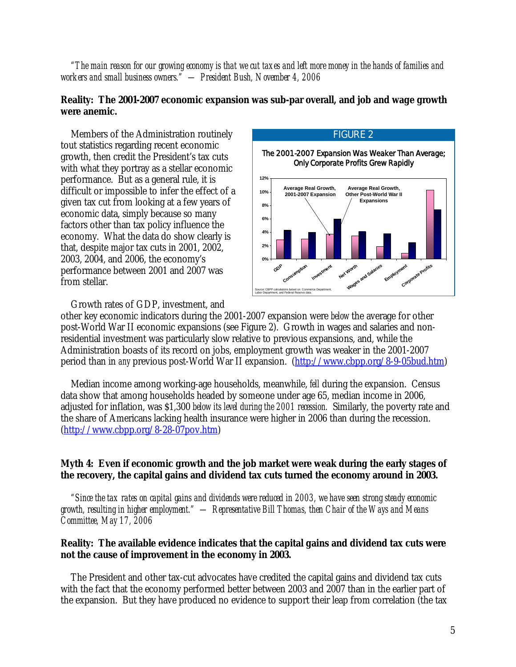*"The main reason for our growing economy is that we cut taxes and left more money in the hands of families and workers and small business owners." — President Bush, November 4, 2006* 

# **Reality: The 2001-2007 economic expansion was sub-par overall, and job and wage growth were anemic.**

Members of the Administration routinely tout statistics regarding recent economic growth, then credit the President's tax cuts with what they portray as a stellar economic performance. But as a general rule, it is difficult or impossible to infer the effect of a given tax cut from looking at a few years of economic data, simply because so many factors other than tax policy influence the economy. What the data do show clearly is that, despite major tax cuts in 2001, 2002, 2003, 2004, and 2006, the economy's performance between 2001 and 2007 was from stellar.



Growth rates of GDP, investment, and

other key economic indicators during the 2001-2007 expansion were *below* the average for other post-World War II economic expansions (see Figure 2). Growth in wages and salaries and nonresidential investment was particularly slow relative to previous expansions, and, while the Administration boasts of its record on jobs, employment growth was weaker in the 2001-2007 period than in *any* previous post-World War II expansion. (http://www.cbpp.org/8-9-05bud.htm)

Median income among working-age households, meanwhile, *fell* during the expansion. Census data show that among households headed by someone under age 65, median income in 2006, adjusted for inflation, was \$1,300 *below its level during the 2001 recession.* Similarly, the poverty rate and the share of Americans lacking health insurance were higher in 2006 than during the recession. (http://www.cbpp.org/8-28-07pov.htm)

# **Myth 4: Even if economic growth and the job market were weak during the early stages of the recovery, the capital gains and dividend tax cuts turned the economy around in 2003.**

*"Since the tax rates on capital gains and dividends were reduced in 2003, we have seen strong steady economic growth, resulting in higher employment." — Representative Bill Thomas, then Chair of the Ways and Means Committee, May 17, 2006* 

# **Reality: The available evidence indicates that the capital gains and dividend tax cuts were not the cause of improvement in the economy in 2003.**

The President and other tax-cut advocates have credited the capital gains and dividend tax cuts with the fact that the economy performed better between 2003 and 2007 than in the earlier part of the expansion. But they have produced no evidence to support their leap from correlation (the tax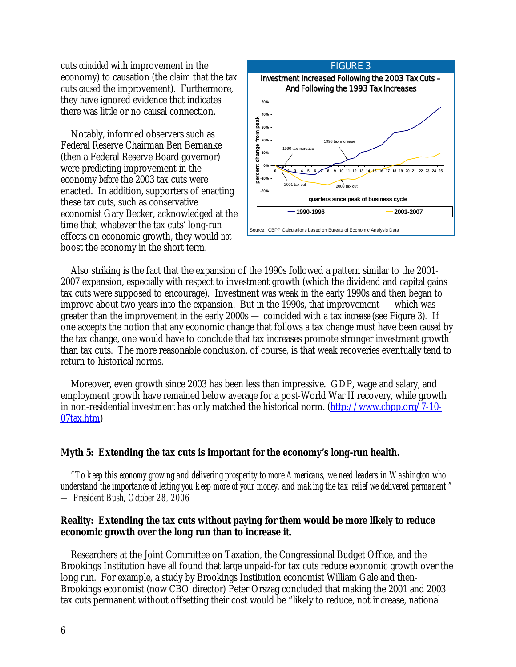cuts *coincided* with improvement in the economy) to causation (the claim that the tax cuts *caused* the improvement). Furthermore, they have ignored evidence that indicates there was little or no causal connection.

Notably, informed observers such as Federal Reserve Chairman Ben Bernanke (then a Federal Reserve Board governor) were predicting improvement in the economy *before* the 2003 tax cuts were enacted. In addition, supporters of enacting these tax cuts, such as conservative economist Gary Becker, acknowledged at the time that, whatever the tax cuts' long-run effects on economic growth, they would *not* boost the economy in the short term.



Also striking is the fact that the expansion of the 1990s followed a pattern similar to the 2001- 2007 expansion, especially with respect to investment growth (which the dividend and capital gains tax cuts were supposed to encourage). Investment was weak in the early 1990s and then began to improve about two years into the expansion. But in the 1990s, that improvement — which was greater than the improvement in the early 2000s — coincided with a tax *increase* (see Figure 3)*.* If one accepts the notion that any economic change that follows a tax change must have been *caused* by the tax change, one would have to conclude that tax increases promote stronger investment growth than tax cuts. The more reasonable conclusion, of course, is that weak recoveries eventually tend to return to historical norms.

Moreover, even growth since 2003 has been less than impressive. GDP, wage and salary, and employment growth have remained below average for a post-World War II recovery, while growth in non-residential investment has only matched the historical norm. (http://www.cbpp.org/7-10-07tax.htm)

#### **Myth 5: Extending the tax cuts is important for the economy's long-run health.**

*"To keep this economy growing and delivering prosperity to more Americans, we need leaders in Washington who understand the importance of letting you keep more of your money, and making the tax relief we delivered permanent." — President Bush, October 28, 2006* 

#### **Reality: Extending the tax cuts without paying for them would be more likely to reduce economic growth over the long run than to increase it.**

Researchers at the Joint Committee on Taxation, the Congressional Budget Office, and the Brookings Institution have all found that large unpaid-for tax cuts reduce economic growth over the long run. For example, a study by Brookings Institution economist William Gale and then-Brookings economist (now CBO director) Peter Orszag concluded that making the 2001 and 2003 tax cuts permanent without offsetting their cost would be "likely to reduce, not increase, national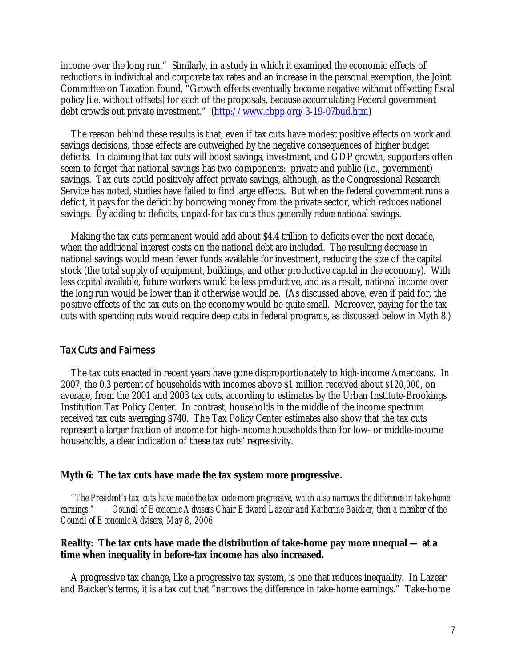income over the long run." Similarly, in a study in which it examined the economic effects of reductions in individual and corporate tax rates and an increase in the personal exemption, the Joint Committee on Taxation found, "Growth effects eventually become negative without offsetting fiscal policy [i.e. without offsets] for each of the proposals, because accumulating Federal government debt crowds out private investment." (http://www.cbpp.org/3-19-07bud.htm)

The reason behind these results is that, even if tax cuts have modest positive effects on work and savings decisions, those effects are outweighed by the negative consequences of higher budget deficits. In claiming that tax cuts will boost savings, investment, and GDP growth, supporters often seem to forget that national savings has two components: private and public (i.e., government) savings. Tax cuts could positively affect private savings, although, as the Congressional Research Service has noted, studies have failed to find large effects. But when the federal government runs a deficit, it pays for the deficit by borrowing money from the private sector, which reduces national savings. By adding to deficits, unpaid-for tax cuts thus generally *reduce* national savings.

Making the tax cuts permanent would add about \$4.4 trillion to deficits over the next decade, when the additional interest costs on the national debt are included. The resulting decrease in national savings would mean fewer funds available for investment, reducing the size of the capital stock (the total supply of equipment, buildings, and other productive capital in the economy). With less capital available, future workers would be less productive, and as a result, national income over the long run would be lower than it otherwise would be. (As discussed above, even if paid for, the positive effects of the tax cuts on the economy would be quite small. Moreover, paying for the tax cuts with spending cuts would require deep cuts in federal programs, as discussed below in Myth 8.)

#### Tax Cuts and Fairness

The tax cuts enacted in recent years have gone disproportionately to high-income Americans. In 2007, the 0.3 percent of households with incomes above \$1 million received about *\$120,000*, on average, from the 2001 and 2003 tax cuts, according to estimates by the Urban Institute-Brookings Institution Tax Policy Center. In contrast, households in the middle of the income spectrum received tax cuts averaging \$740. The Tax Policy Center estimates also show that the tax cuts represent a larger fraction of income for high-income households than for low- or middle-income households, a clear indication of these tax cuts' regressivity.

#### **Myth 6: The tax cuts have made the tax system more progressive.**

*"The President's tax cuts have made the tax code more progressive, which also narrows the difference in take-home earnings." — Council of Economic Advisers Chair Edward Lazear and Katherine Baicker, then a member of the Council of Economic Advisers, May 8, 2006* 

# **Reality: The tax cuts have made the distribution of take-home pay more unequal — at a time when inequality in before-tax income has also increased.**

A progressive tax change, like a progressive tax system, is one that reduces inequality. In Lazear and Baicker's terms, it is a tax cut that "narrows the difference in take-home earnings." Take-home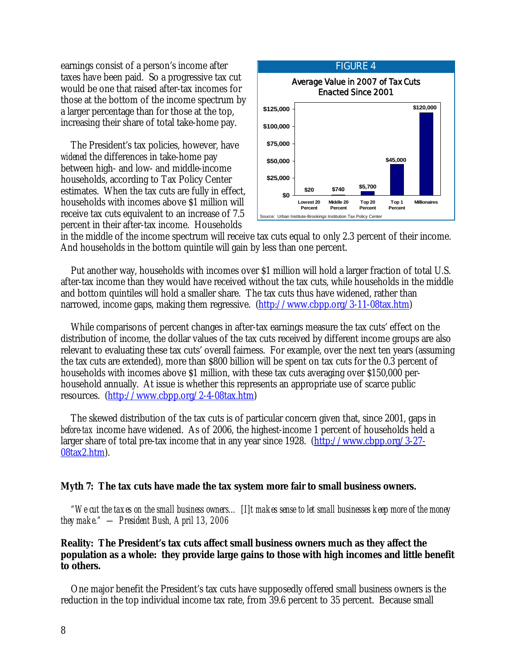earnings consist of a person's income after taxes have been paid. So a progressive tax cut would be one that raised after-tax incomes for those at the bottom of the income spectrum by a larger percentage than for those at the top, increasing their share of total take-home pay.

The President's tax policies, however, have *widened* the differences in take-home pay between high- and low- and middle-income households, according to Tax Policy Center estimates. When the tax cuts are fully in effect, households with incomes above \$1 million will receive tax cuts equivalent to an increase of 7.5 percent in their after-tax income. Households



in the middle of the income spectrum will receive tax cuts equal to only 2.3 percent of their income. And households in the bottom quintile will gain by less than one percent.

Put another way, households with incomes over \$1 million will hold a larger fraction of total U.S. after-tax income than they would have received without the tax cuts, while households in the middle and bottom quintiles will hold a smaller share. The tax cuts thus have widened, rather than narrowed, income gaps, making them regressive. (http://www.cbpp.org/3-11-08tax.htm)

While comparisons of percent changes in after-tax earnings measure the tax cuts' effect on the distribution of income, the dollar values of the tax cuts received by different income groups are also relevant to evaluating these tax cuts' overall fairness. For example, over the next ten years (assuming the tax cuts are extended), more than \$800 billion will be spent on tax cuts for the 0.3 percent of households with incomes above \$1 million, with these tax cuts averaging over \$150,000 perhousehold annually. At issue is whether this represents an appropriate use of scarce public resources. (http://www.cbpp.org/2-4-08tax.htm)

The skewed distribution of the tax cuts is of particular concern given that, since 2001, gaps in *before-tax* income have widened. As of 2006, the highest-income 1 percent of households held a larger share of total pre-tax income that in any year since 1928. (http://www.cbpp.org/3-27- 08tax2.htm).

#### **Myth 7: The tax cuts have made the tax system more fair to small business owners.**

*"We cut the taxes on the small business owners… [I]t makes sense to let small businesses keep more of the money they make." — President Bush, April 13, 2006* 

## **Reality: The President's tax cuts affect small business owners much as they affect the population as a whole: they provide large gains to those with high incomes and little benefit to others.**

One major benefit the President's tax cuts have supposedly offered small business owners is the reduction in the top individual income tax rate, from 39.6 percent to 35 percent. Because small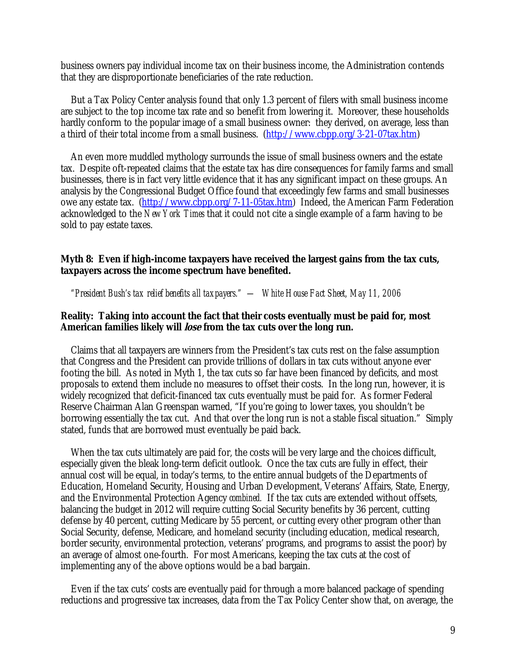business owners pay individual income tax on their business income, the Administration contends that they are disproportionate beneficiaries of the rate reduction.

But a Tax Policy Center analysis found that only 1.3 percent of filers with small business income are subject to the top income tax rate and so benefit from lowering it. Moreover, these households hardly conform to the popular image of a small business owner: they derived, on average, less than a third of their total income from a small business. (http://www.cbpp.org/3-21-07tax.htm)

An even more muddled mythology surrounds the issue of small business owners and the estate tax. Despite oft-repeated claims that the estate tax has dire consequences for family farms and small businesses, there is in fact very little evidence that it has any significant impact on these groups. An analysis by the Congressional Budget Office found that exceedingly few farms and small businesses owe any estate tax. (http://www.cbpp.org/7-11-05tax.htm) Indeed, the American Farm Federation acknowledged to the *New York Times* that it could not cite a single example of a farm having to be sold to pay estate taxes.

# **Myth 8: Even if high-income taxpayers have received the largest gains from the tax cuts, taxpayers across the income spectrum have benefited.**

*"President Bush's tax relief benefits all taxpayers." — White House Fact Sheet, May 11, 2006* 

## **Reality: Taking into account the fact that their costs eventually must be paid for, most American families likely will lose from the tax cuts over the long run.**

Claims that all taxpayers are winners from the President's tax cuts rest on the false assumption that Congress and the President can provide trillions of dollars in tax cuts without anyone ever footing the bill. As noted in Myth 1, the tax cuts so far have been financed by deficits, and most proposals to extend them include no measures to offset their costs. In the long run, however, it is widely recognized that deficit-financed tax cuts eventually must be paid for. As former Federal Reserve Chairman Alan Greenspan warned, "If you're going to lower taxes, you shouldn't be borrowing essentially the tax cut. And that over the long run is not a stable fiscal situation." Simply stated, funds that are borrowed must eventually be paid back.

When the tax cuts ultimately are paid for, the costs will be very large and the choices difficult, especially given the bleak long-term deficit outlook. Once the tax cuts are fully in effect, their annual cost will be equal, in today's terms, to the entire annual budgets of the Departments of Education, Homeland Security, Housing and Urban Development, Veterans' Affairs, State, Energy, and the Environmental Protection Agency *combined.* If the tax cuts are extended without offsets, balancing the budget in 2012 will require cutting Social Security benefits by 36 percent, cutting defense by 40 percent, cutting Medicare by 55 percent, or cutting every other program other than Social Security, defense, Medicare, and homeland security (including education, medical research, border security, environmental protection, veterans' programs, and programs to assist the poor) by an average of almost one-fourth. For most Americans, keeping the tax cuts at the cost of implementing any of the above options would be a bad bargain.

Even if the tax cuts' costs are eventually paid for through a more balanced package of spending reductions and progressive tax increases, data from the Tax Policy Center show that, on average, the